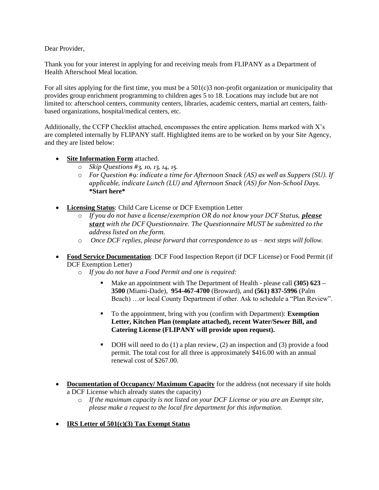Dear Provider,

Thank you for your interest in applying for and receiving meals from FLIPANY as a Department of Health Afterschool Meal location.

For all sites applying for the first time, you must be a  $501(c)3$  non-profit organization or municipality that provides group enrichment programming to children ages 5 to 18. Locations may include but are not limited to: afterschool centers, community centers, libraries, academic centers, martial art centers, faithbased organizations, hospital/medical centers, etc.

Additionally, the CCFP Checklist attached, encompasses the entire application. Items marked with X's are completed internally by FLIPANY staff. Highlighted items are to be worked on by your Site Agency, and they are listed below:

- **Site Information Form** attached.
	- o *Skip Questions #3, 10, 13, 14, 15.*
	- o *For Question #9: indicate a time for Afternoon Snack (AS) as well as Suppers (SU). If applicable, indicate Lunch (LU) and Afternoon Snack (AS) for Non-School Days.*  **\*Start here\***
- **Licensing Status**: Child Care License or DCF Exemption Letter
	- o *If you do not have a license/exemption OR do not know your DCF Status, please start with the DCF Questionnaire. The Questionnaire MUST be submitted to the address listed on the form.*
	- o *Once DCF replies, please forward that correspondence to us – next steps will follow.*
- **Food Service Documentation**: DCF Food Inspection Report (if DCF License) or Food Permit (if DCF Exemption Letter)
	- o *If you do not have a Food Permit and one is required:*
		- Make an appointment with The Department of Health please call **(305) 623 3500** (Miami-Dade), **954-467-4700** (Broward), and **(561) 837-5996** (Palm Beach) …or local County Department if other. Ask to schedule a "Plan Review".
		- To the appointment, bring with you (confirm with Department): **Exemption Letter, Kitchen Plan (template attached), recent Water/Sewer Bill, and Catering License (FLIPANY will provide upon request).**
		- DOH will need to do  $(1)$  a plan review,  $(2)$  an inspection and  $(3)$  provide a food permit. The total cost for all three is approximately \$416.00 with an annual renewal cost of \$267.00.
- **Documentation of Occupancy/ Maximum Capacity** for the address (not necessary if site holds a DCF License which already states the capacity)
	- o *If the maximum capacity is not listed on your DCF License or you are an Exempt site, please make a request to the local fire department for this information.*
- **IRS Letter of 501(c)(3) Tax Exempt Status**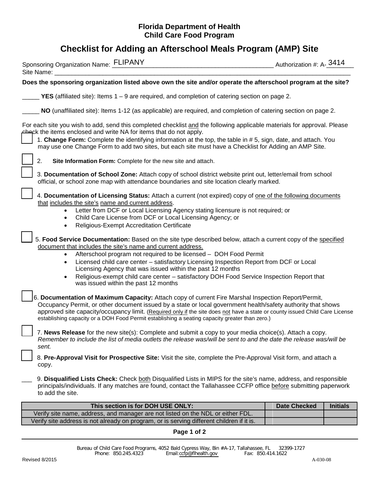## **Florida Department of Health Child Care Food Program**

## **Checklist for Adding an Afterschool Meals Program (AMP) Site**

| Sponsoring Organization Name: FLIPANY<br>Site Name:                                                                                                                                                                                                                                                                                                                                                                                                                                                                                                                                    | Authorization #: A-3414 |                 |
|----------------------------------------------------------------------------------------------------------------------------------------------------------------------------------------------------------------------------------------------------------------------------------------------------------------------------------------------------------------------------------------------------------------------------------------------------------------------------------------------------------------------------------------------------------------------------------------|-------------------------|-----------------|
| Does the sponsoring organization listed above own the site and/or operate the afterschool program at the site?                                                                                                                                                                                                                                                                                                                                                                                                                                                                         |                         |                 |
| <b>YES</b> (affiliated site): Items $1 - 9$ are required, and completion of catering section on page 2.                                                                                                                                                                                                                                                                                                                                                                                                                                                                                |                         |                 |
| NO (unaffiliated site): Items 1-12 (as applicable) are required, and completion of catering section on page 2.                                                                                                                                                                                                                                                                                                                                                                                                                                                                         |                         |                 |
| For each site you wish to add, send this completed checklist and the following applicable materials for approval. Please<br><sub>pheck</sub> the items enclosed and write NA for items that do not apply.<br>1. Change Form: Complete the identifying information at the top, the table in #5, sign, date, and attach. You<br>may use one Change Form to add two sites, but each site must have a Checklist for Adding an AMP Site.                                                                                                                                                    |                         |                 |
| 2.<br>Site Information Form: Complete for the new site and attach.                                                                                                                                                                                                                                                                                                                                                                                                                                                                                                                     |                         |                 |
| 3. Documentation of School Zone: Attach copy of school district website print out, letter/email from school<br>official, or school zone map with attendance boundaries and site location clearly marked.                                                                                                                                                                                                                                                                                                                                                                               |                         |                 |
| 4. Documentation of Licensing Status: Attach a current (not expired) copy of one of the following documents<br>that includes the site's name and current address.                                                                                                                                                                                                                                                                                                                                                                                                                      |                         |                 |
| Letter from DCF or Local Licensing Agency stating licensure is not required; or<br>$\bullet$<br>Child Care License from DCF or Local Licensing Agency; or<br>$\bullet$<br>Religious-Exempt Accreditation Certificate<br>$\bullet$                                                                                                                                                                                                                                                                                                                                                      |                         |                 |
| 5. Food Service Documentation: Based on the site type described below, attach a current copy of the specified<br>document that includes the site's name and current address.<br>Afterschool program not required to be licensed - DOH Food Permit<br>$\bullet$<br>Licensed child care center - satisfactory Licensing Inspection Report from DCF or Local<br>$\bullet$<br>Licensing Agency that was issued within the past 12 months<br>Religious-exempt child care center - satisfactory DOH Food Service Inspection Report that<br>$\bullet$<br>was issued within the past 12 months |                         |                 |
| 6. Documentation of Maximum Capacity: Attach copy of current Fire Marshal Inspection Report/Permit,<br>Occupancy Permit, or other document issued by a state or local government health/safety authority that shows<br>approved site capacity/occupancy limit. (Required only if the site does not have a state or county issued Child Care License<br>establishing capacity or a DOH Food Permit establishing a seating capacity greater than zero.)                                                                                                                                  |                         |                 |
| 7. News Release for the new site(s): Complete and submit a copy to your media choice(s). Attach a copy.<br>Remember to include the list of media outlets the release was/will be sent to and the date the release was/will be<br>sent.                                                                                                                                                                                                                                                                                                                                                 |                         |                 |
| 8. Pre-Approval Visit for Prospective Site: Visit the site, complete the Pre-Approval Visit form, and attach a<br>copy.                                                                                                                                                                                                                                                                                                                                                                                                                                                                |                         |                 |
| 9. Disqualified Lists Check: Check both Disqualified Lists in MIPS for the site's name, address, and responsible<br>principals/individuals. If any matches are found, contact the Tallahassee CCFP office before submitting paperwork<br>to add the site.                                                                                                                                                                                                                                                                                                                              |                         |                 |
| This section is for DOH USE ONLY:                                                                                                                                                                                                                                                                                                                                                                                                                                                                                                                                                      | <b>Date Checked</b>     | <b>Initials</b> |
| Verify site name, address, and manager are not listed on the NDL or either FDL.                                                                                                                                                                                                                                                                                                                                                                                                                                                                                                        |                         |                 |
| Verify site address is not already on program, or is serving different children if it is.                                                                                                                                                                                                                                                                                                                                                                                                                                                                                              |                         |                 |

**Page 1 of 2**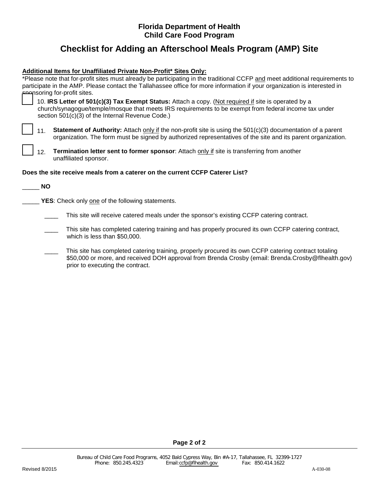## **Florida Department of Health Child Care Food Program**

## **Checklist for Adding an Afterschool Meals Program (AMP) Site**

## **Additional Items for Unaffiliated Private Non-Profit\* Sites Only:**

| *Please note that for-profit sites must already be participating in the traditional CCFP and meet additional requirements to                                                                                                                                      |  |
|-------------------------------------------------------------------------------------------------------------------------------------------------------------------------------------------------------------------------------------------------------------------|--|
| participate in the AMP. Please contact the Tallahassee office for more information if your organization is interested in                                                                                                                                          |  |
| ക്ഷന്ദ്ര for-profit sites.                                                                                                                                                                                                                                        |  |
| 10. IRS Letter of 501(c)(3) Tax Exempt Status: Attach a copy. (Not required if site is operated by a<br>church/synagogue/temple/mosque that meets IRS requirements to be exempt from federal income tax under<br>section 501(c)(3) of the Internal Revenue Code.) |  |
| <b>Statement of Authority:</b> Attach only if the non-profit site is using the $501(c)(3)$ documentation of a parent<br>11.<br>organization. The form must be signed by authorized representatives of the site and its parent organization.                       |  |
| Termination letter sent to former sponsor: Attach only if site is transferring from another<br>12.<br>unaffiliated sponsor.                                                                                                                                       |  |
| Does the site receive meals from a caterer on the current CCFP Caterer List?                                                                                                                                                                                      |  |
| NO.                                                                                                                                                                                                                                                               |  |
| <b>YES:</b> Check only one of the following statements.                                                                                                                                                                                                           |  |
| This site will receive catered meals under the sponsor's existing CCFP catering contract.                                                                                                                                                                         |  |
| This site has completed catering training and has properly procured its own CCFP catering contract,<br>which is less than \$50,000.                                                                                                                               |  |
|                                                                                                                                                                                                                                                                   |  |

This site has completed catering training, properly procured its own CCFP catering contract totaling \$50,000 or more, and received DOH approval from Brenda Crosby (email: Brenda.Crosby@flhealth.gov) prior to executing the contract.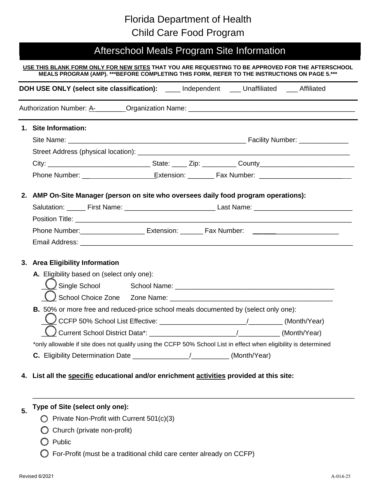## Florida Department of Health Child Care Food Program

# Afterschool Meals Program Site Information

#### **USE THIS BLANK FORM ONLY FOR NEW SITES THAT YOU ARE REQUESTING TO BE APPROVED FOR THE AFTERSCHOOL MEALS PROGRAM (AMP). \*\*\*BEFORE COMPLETING THIS FORM, REFER TO THE INSTRUCTIONS ON PAGE 5.\*\*\***

| <b>DOH USE ONLY (select site classification):</b> _____ Independent ____ Unaffiliated ____ Affiliated            |  |  |
|------------------------------------------------------------------------------------------------------------------|--|--|
|                                                                                                                  |  |  |
| 1. Site Information:                                                                                             |  |  |
|                                                                                                                  |  |  |
|                                                                                                                  |  |  |
|                                                                                                                  |  |  |
|                                                                                                                  |  |  |
| 2. AMP On-Site Manager (person on site who oversees daily food program operations):                              |  |  |
| Salutation: ______ First Name: ___________________________________Last Name: _________________________________   |  |  |
|                                                                                                                  |  |  |
|                                                                                                                  |  |  |
|                                                                                                                  |  |  |
| 3. Area Eligibility Information                                                                                  |  |  |
| A. Eligibility based on (select only one):                                                                       |  |  |
|                                                                                                                  |  |  |
|                                                                                                                  |  |  |
| B. 50% or more free and reduced-price school meals documented by (select only one):                              |  |  |
|                                                                                                                  |  |  |
|                                                                                                                  |  |  |
| *only allowable if site does not qualify using the CCFP 50% School List in effect when eligibility is determined |  |  |
|                                                                                                                  |  |  |
| 4. List all the specific educational and/or enrichment activities provided at this site:                         |  |  |

\_\_\_\_\_\_\_\_\_\_\_\_\_\_\_\_\_\_\_\_\_\_\_\_\_\_\_\_\_\_\_\_\_\_\_\_\_\_\_\_\_\_\_\_\_\_\_\_\_\_\_\_\_\_\_\_\_\_\_\_\_\_\_\_\_\_\_\_\_\_\_\_\_\_\_\_\_\_\_\_\_\_\_\_\_

#### **5. Type of Site (select only one):**

- ❑ Private Non-Profit with Current 501(c)(3)
- ❑ Church (private non-profit)
- ❑ Public
- ❑ For-Profit (must be a traditional child care center already on CCFP)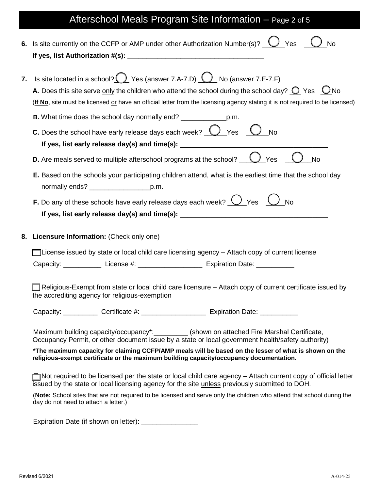# Afterschool Meals Program Site Information – Page 2 of 5

|    | 6. Is site currently on the CCFP or AMP under other Authorization Number(s)? $\bigcup$ Yes $\bigcup$<br><b>No</b>                                                                                                                                                                                                                                   |
|----|-----------------------------------------------------------------------------------------------------------------------------------------------------------------------------------------------------------------------------------------------------------------------------------------------------------------------------------------------------|
| 7. | Is site located in a school? $\bigcirc$ Yes (answer 7.A-7.D) $\bigcirc$ No (answer 7.E-7.F)<br>A. Does this site serve only the children who attend the school during the school day? $\bigcirc$ Yes $\bigcirc$ No<br>(If No, site must be licensed or have an official letter from the licensing agency stating it is not required to be licensed) |
|    |                                                                                                                                                                                                                                                                                                                                                     |
|    | C. Does the school have early release days each week? $\bigcirc$ Yes $\bigcirc$ No                                                                                                                                                                                                                                                                  |
|    | <b>D.</b> Are meals served to multiple afterschool programs at the school? $\underline{\hspace{1cm}}\bigcup$ Yes<br><b>No</b>                                                                                                                                                                                                                       |
|    | E. Based on the schools your participating children attend, what is the earliest time that the school day<br>normally ends? _________________________p.m.                                                                                                                                                                                           |
|    | <b>F.</b> Do any of these schools have early release days each week? $\bigcup$ Yes $\bigcup$ No                                                                                                                                                                                                                                                     |
|    | 8. Licensure Information: (Check only one)                                                                                                                                                                                                                                                                                                          |
|    | License issued by state or local child care licensing agency – Attach copy of current license                                                                                                                                                                                                                                                       |
|    |                                                                                                                                                                                                                                                                                                                                                     |
|    | Religious-Exempt from state or local child care licensure - Attach copy of current certificate issued by<br>the accrediting agency for religious-exemption                                                                                                                                                                                          |
|    | Capacity: ____________ Certificate #: ____________________ Expiration Date: ___________                                                                                                                                                                                                                                                             |
|    | Maximum building capacity/occupancy*:__________(shown on attached Fire Marshal Certificate,<br>Occupancy Permit, or other document issue by a state or local government health/safety authority)                                                                                                                                                    |
|    | *The maximum capacity for claiming CCFP/AMP meals will be based on the lesser of what is shown on the<br>religious-exempt certificate or the maximum building capacity/occupancy documentation.                                                                                                                                                     |
|    |                                                                                                                                                                                                                                                                                                                                                     |
|    | $\Box$ Not required to be licensed per the state or local child care agency – Attach current copy of official letter<br>issued by the state or local licensing agency for the site unless previously submitted to DOH.                                                                                                                              |
|    | (Note: School sites that are not required to be licensed and serve only the children who attend that school during the<br>day do not need to attach a letter.)                                                                                                                                                                                      |

Expiration Date (if shown on letter): \_\_\_\_\_\_\_\_\_\_\_\_\_\_\_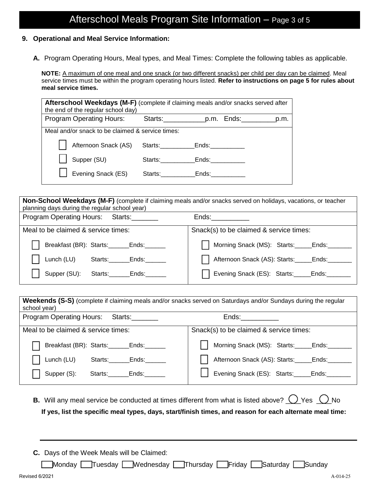## **9. Operational and Meal Service Information:**

**A.** Program Operating Hours, Meal types, and Meal Times: Complete the following tables as applicable.

**NOTE:** A maximum of one meal and one snack (or two different snacks) per child per day can be claimed. Meal service times must be within the program operating hours listed. **Refer to instructions on page 5 for rules about meal service times.**

| <b>Afterschool Weekdays (M-F)</b> (complete if claiming meals and/or snacks served after<br>the end of the regular school day) |                 |       |  |  |  |  |
|--------------------------------------------------------------------------------------------------------------------------------|-----------------|-------|--|--|--|--|
| <b>Program Operating Hours:</b>                                                                                                |                 |       |  |  |  |  |
| Meal and/or snack to be claimed & service times:                                                                               |                 |       |  |  |  |  |
| Afternoon Snack (AS)                                                                                                           | Starts: Ends:   |       |  |  |  |  |
| Supper (SU)                                                                                                                    | Starts: Starts: | Ends: |  |  |  |  |
| Evening Snack (ES)                                                                                                             | Starts:         | Ends: |  |  |  |  |

**Non-School Weekdays (M-F)** (complete if claiming meals and/or snacks served on holidays, vacations, or teacher planning days during the regular school year) Program Operating Hours: Starts:\_\_\_\_\_\_\_ Ends:\_\_\_\_\_\_\_\_\_\_ Meal to be claimed & service times: Breakfast (BR): Starts:\_\_\_\_\_\_Ends: Lunch (LU) Starts:\_\_\_\_\_\_Ends:\_\_\_\_\_ Supper (SU): Starts: Ends: Snack(s) to be claimed & service times: Morning Snack (MS): Starts:\_\_\_\_\_ Ends: Afternoon Snack (AS): Starts:\_\_\_\_\_Ends: Evening Snack (ES): Starts:\_\_\_\_\_Ends:\_\_

| Weekends (S-S) (complete if claiming meals and/or snacks served on Saturdays and/or Sundays during the regular<br>school year) |                                           |
|--------------------------------------------------------------------------------------------------------------------------------|-------------------------------------------|
| <b>Program Operating Hours:</b><br>Starts: Starts:                                                                             | Ends:                                     |
| Meal to be claimed & service times:                                                                                            | Snack(s) to be claimed & service times:   |
| Breakfast (BR): Starts: ______Ends: _____                                                                                      | Morning Snack (MS): Starts:_____Ends:____ |
| Lunch (LU)<br>Ends: The Ends of the Ends of the Ends of the Ends of the Ends of the Ends of the Ends of the Ends o<br>Starts:  | Afternoon Snack (AS): Starts: _____Ends:  |
| Supper (S):<br>Starts:<br>Ends:                                                                                                | Evening Snack (ES): Starts: Ends:         |

- **B.** Will any meal service be conducted at times different from what is listed above?  $\bigcirc$  Yes  $\bigcirc$  No **If yes, list the specific meal types, days, start/finish times, and reason for each alternate meal time:**
- **C.** Days of the Week Meals will be Claimed:

\_\_\_Monday \_\_\_Tuesday \_\_\_Wednesday \_\_\_Thursday \_\_\_Friday \_\_\_Saturday \_\_\_Sunday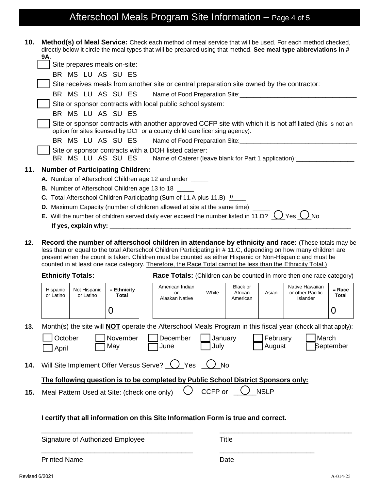# Afterschool Meals Program Site Information - Page 4 of 5

| 10. | Method(s) of Meal Service: Check each method of meal service that will be used. For each method checked,<br>directly below it circle the meal types that will be prepared using that method. See meal type abbreviations in #<br>9A.                                                                                                                                                                                                             |                           |                                          |  |                                                                                                                                                                                                                                   |       |                                 |       |                                                 |                   |
|-----|--------------------------------------------------------------------------------------------------------------------------------------------------------------------------------------------------------------------------------------------------------------------------------------------------------------------------------------------------------------------------------------------------------------------------------------------------|---------------------------|------------------------------------------|--|-----------------------------------------------------------------------------------------------------------------------------------------------------------------------------------------------------------------------------------|-------|---------------------------------|-------|-------------------------------------------------|-------------------|
|     | Site prepares meals on-site:                                                                                                                                                                                                                                                                                                                                                                                                                     |                           |                                          |  |                                                                                                                                                                                                                                   |       |                                 |       |                                                 |                   |
|     | BR MS LU AS SU ES                                                                                                                                                                                                                                                                                                                                                                                                                                |                           |                                          |  |                                                                                                                                                                                                                                   |       |                                 |       |                                                 |                   |
|     | Site receives meals from another site or central preparation site owned by the contractor:                                                                                                                                                                                                                                                                                                                                                       |                           |                                          |  |                                                                                                                                                                                                                                   |       |                                 |       |                                                 |                   |
|     |                                                                                                                                                                                                                                                                                                                                                                                                                                                  |                           | BR MS LU AS SU ES                        |  |                                                                                                                                                                                                                                   |       |                                 |       |                                                 |                   |
|     |                                                                                                                                                                                                                                                                                                                                                                                                                                                  |                           |                                          |  | Site or sponsor contracts with local public school system:                                                                                                                                                                        |       |                                 |       |                                                 |                   |
|     |                                                                                                                                                                                                                                                                                                                                                                                                                                                  |                           | BR MS LU AS SU ES                        |  |                                                                                                                                                                                                                                   |       |                                 |       |                                                 |                   |
|     |                                                                                                                                                                                                                                                                                                                                                                                                                                                  |                           |                                          |  | Site or sponsor contracts with another approved CCFP site with which it is not affiliated (this is not an<br>option for sites licensed by DCF or a county child care licensing agency):                                           |       |                                 |       |                                                 |                   |
|     |                                                                                                                                                                                                                                                                                                                                                                                                                                                  |                           |                                          |  | BR MS LU AS SU ES Name of Food Preparation Site: _______________________________                                                                                                                                                  |       |                                 |       |                                                 |                   |
|     |                                                                                                                                                                                                                                                                                                                                                                                                                                                  |                           | BR MS LU AS SU ES                        |  | Site or sponsor contracts with a DOH listed caterer:<br>Name of Caterer (leave blank for Part 1 application): __________________________                                                                                          |       |                                 |       |                                                 |                   |
| 11. |                                                                                                                                                                                                                                                                                                                                                                                                                                                  |                           | <b>Number of Participating Children:</b> |  |                                                                                                                                                                                                                                   |       |                                 |       |                                                 |                   |
|     |                                                                                                                                                                                                                                                                                                                                                                                                                                                  |                           |                                          |  | A. Number of Afterschool Children age 12 and under _____                                                                                                                                                                          |       |                                 |       |                                                 |                   |
|     |                                                                                                                                                                                                                                                                                                                                                                                                                                                  |                           |                                          |  | <b>B.</b> Number of Afterschool Children age 13 to 18 _____                                                                                                                                                                       |       |                                 |       |                                                 |                   |
|     |                                                                                                                                                                                                                                                                                                                                                                                                                                                  |                           |                                          |  | C. Total Afterschool Children Participating (Sum of 11.A plus 11.B) <sup>0</sup>                                                                                                                                                  |       |                                 |       |                                                 |                   |
|     |                                                                                                                                                                                                                                                                                                                                                                                                                                                  |                           |                                          |  | D. Maximum Capacity (number of children allowed at site at the same time) _____                                                                                                                                                   |       |                                 |       |                                                 |                   |
|     |                                                                                                                                                                                                                                                                                                                                                                                                                                                  |                           |                                          |  | <b>E.</b> Will the number of children served daily ever exceed the number listed in 11.D? $\bigcup$ Yes $\bigcup$ No                                                                                                              |       |                                 |       |                                                 |                   |
|     |                                                                                                                                                                                                                                                                                                                                                                                                                                                  |                           |                                          |  | If yes, explain why: $\sqrt{2\pi}$ . The set of the set of the set of the set of the set of the set of the set of the set of the set of the set of the set of the set of the set of the set of the set of the set of the set of t |       |                                 |       |                                                 |                   |
| 12. | Record the number of afterschool children in attendance by ethnicity and race: (These totals may be<br>less than or equal to the total Afterschool Children Participating in #11.C, depending on how many children are<br>present when the count is taken. Children must be counted as either Hispanic or Non-Hispanic and must be<br>counted in at least one race category. Therefore, the Race Total cannot be less than the Ethnicity Total.) |                           |                                          |  |                                                                                                                                                                                                                                   |       |                                 |       |                                                 |                   |
|     | <b>Ethnicity Totals:</b><br>Race Totals: (Children can be counted in more then one race category)                                                                                                                                                                                                                                                                                                                                                |                           |                                          |  |                                                                                                                                                                                                                                   |       |                                 |       |                                                 |                   |
|     | Hispanic<br>or Latino                                                                                                                                                                                                                                                                                                                                                                                                                            | Not Hispanic<br>or Latino | $=$ Ethnicity<br><b>Total</b>            |  | American Indian<br>or<br>Alaskan Native                                                                                                                                                                                           | White | Black or<br>African<br>American | Asian | Native Hawaiian<br>or other Pacific<br>Islander | $=$ Race<br>Total |
|     |                                                                                                                                                                                                                                                                                                                                                                                                                                                  |                           | 0                                        |  |                                                                                                                                                                                                                                   |       |                                 |       |                                                 | 0                 |

**13.** Month(s) the site will **NOT** operate the Afterschool Meals Program in this fiscal year (check all that apply):

\_\_\_\_\_\_\_\_\_\_\_\_\_\_\_\_\_\_\_\_\_\_\_\_\_\_\_\_\_\_\_\_\_\_\_\_\_\_\_\_ \_\_\_\_\_\_\_\_\_\_\_\_\_\_\_\_\_\_\_\_\_\_\_\_\_\_\_\_\_\_\_\_\_\_\_

October **□** November □ December □ January □ February ❑ April ❑ May ❑ June ❑ July ❑ August ❑ September

|  | l March   |  |
|--|-----------|--|
|  | September |  |

**14.** Will Site Implement Offer Versus Serve?  $\bigcirc$  Yes  $\bigcirc$  No

## **The following question is to be completed by Public School District Sponsors only:**

\_\_\_\_\_\_\_\_\_\_\_\_\_\_\_\_\_\_\_\_\_\_\_\_\_\_\_\_\_\_\_\_\_\_\_\_\_\_\_\_ \_\_\_\_\_\_\_\_\_\_\_\_\_\_\_\_\_\_\_\_\_\_\_\_\_

**15.** Meal Pattern Used at Site: (check one only)  $\bigcup$  CCFP or  $\bigcup$  NSLP

## **I certify that all information on this Site Information Form is true and correct.**

Signature of Authorized Employee Title

Printed Name **Date**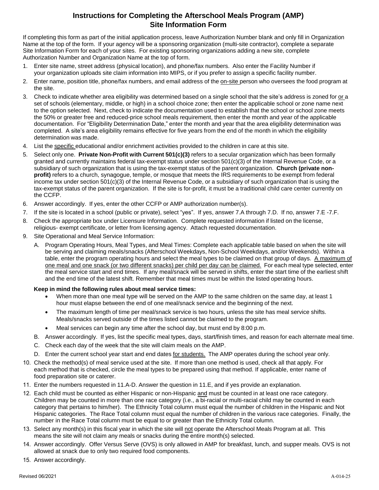## **Instructions for Completing the Afterschool Meals Program (AMP) Site Information Form**

If completing this form as part of the initial application process, leave Authorization Number blank and only fill in Organization Name at the top of the form. If your agency will be a sponsoring organization (multi-site contractor), complete a separate Site Information Form for each of your sites. For existing sponsoring organizations adding a new site, complete Authorization Number and Organization Name at the top of form.

- 1. Enter site name, street address (physical location), and phone/fax numbers. Also enter the Facility Number if your organization uploads site claim information into MIPS, or if you prefer to assign a specific facility number.
- 2. Enter name, position title, phone/fax numbers, and email address of the on-site person who oversees the food program at the site.
- 3. Check to indicate whether area eligibility was determined based on a single school that the site's address is zoned for or a set of schools (elementary, middle, or high) in a school choice zone; then enter the applicable school or zone name next to the option selected. Next, check to indicate the documentation used to establish that the school or school zone meets the 50% or greater free and reduced-price school meals requirement, then enter the month and year of the applicable documentation. For "Eligibility Determination Date," enter the month and year that the area eligibility determination was completed. A site's area eligibility remains effective for five years from the end of the month in which the eligibility determination was made.
- 4. List the specific educational and/or enrichment activities provided to the children in care at this site.
- 5. Select only one. **Private Non-Profit with Current 501(c)(3)** refers to a secular organization which has been formally granted and currently maintains federal tax-exempt status under section 501(c)(3) of the Internal Revenue Code, or a subsidiary of such organization that is using the tax-exempt status of the parent organization. **Church (private nonprofit)** refers to a church, synagogue, temple, or mosque that meets the IRS requirements to be exempt from federal income tax under section 501(c)(3) of the Internal Revenue Code, or a subsidiary of such organization that is using the tax-exempt status of the parent organization. If the site is for-profit, it must be a traditional child care center currently on the CCFP.
- 6. Answer accordingly. If yes, enter the other CCFP or AMP authorization number(s).
- 7. If the site is located in a school (public or private), select "yes". If yes, answer 7.A through 7.D. If no, answer 7.E -7.F.
- 8. Check the appropriate box under Licensure Information. Complete requested information if listed on the license, religious- exempt certificate, or letter from licensing agency. Attach requested documentation.
- 9. Site Operational and Meal Service Information:
	- A. Program Operating Hours, Meal Types, and Meal Times: Complete each applicable table based on when the site will be serving and claiming meals/snacks (Afterschool Weekdays, Non-School Weekdays, and/or Weekends). Within a table, enter the program operating hours and select the meal types to be claimed on that group of days. A maximum of one meal and one snack (or two different snacks) per child per day can be claimed. For each meal type selected, enter the meal service start and end times. If any meal/snack will be served in shifts, enter the start time of the earliest shift and the end time of the latest shift. Remember that meal times must be within the listed operating hours.

#### **Keep in mind the following rules about meal service times:**

- When more than one meal type will be served on the AMP to the same children on the same day, at least 1 hour must elapse between the end of one meal/snack service and the beginning of the next.
- The maximum length of time per meal/snack service is two hours, unless the site has meal service shifts. Meals/snacks served outside of the times listed cannot be claimed to the program.
- Meal services can begin any time after the school day, but must end by 8:00 p.m.
- B. Answer accordingly. If yes, list the specific meal types, days, start/finish times, and reason for each alternate meal time.
- C. Check each day of the week that the site will claim meals on the AMP.
- D. Enter the current school year start and end dates for students. The AMP operates during the school year only.
- 10. Check the method(s) of meal service used at the site. If more than one method is used, check all that apply. For each method that is checked, circle the meal types to be prepared using that method. If applicable, enter name of food preparation site or caterer.
- 11. Enter the numbers requested in 11.A-D. Answer the question in 11.E, and if yes provide an explanation.
- 12. Each child must be counted as either Hispanic or non-Hispanic and must be counted in at least one race category. Children may be counted in more than one race category (i.e., a bi-racial or multi-racial child may be counted in each category that pertains to him/her). The Ethnicity Total column must equal the number of children in the Hispanic and Not Hispanic categories. The Race Total column must equal the number of children in the various race categories. Finally, the number in the Race Total column must be equal to or greater than the Ethnicity Total column.
- 13. Select any month(s) in this fiscal year in which the site will not operate the Afterschool Meals Program at all. This means the site will not claim any meals or snacks during the entire month(s) selected.
- 14. Answer accordingly. Offer Versus Serve (OVS) is only allowed in AMP for breakfast, lunch, and supper meals. OVS is not allowed at snack due to only two required food components.
- 15. Answer accordingly.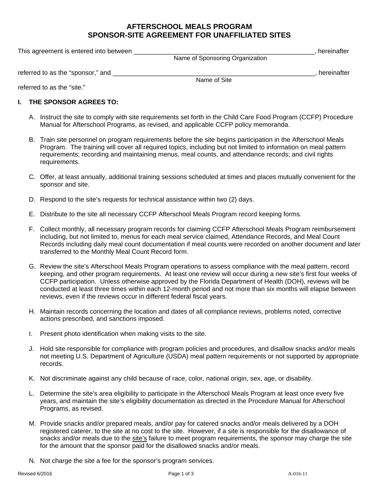## **AFTERSCHOOL MEALS PROGRAM SPONSOR-SITE AGREEMENT FOR UNAFFILIATED SITES**

| This agreement is entered into between |                                 | hereinafter |
|----------------------------------------|---------------------------------|-------------|
|                                        | Name of Sponsoring Organization |             |
| referred to as the "sponsor," and      |                                 | hereinafter |
|                                        | Name of Site                    |             |

referred to as the "site."

## **I. THE SPONSOR AGREES TO:**

- A. Instruct the site to comply with site requirements set forth in the Child Care Food Program (CCFP) Procedure Manual for Afterschool Programs, as revised, and applicable CCFP policy memoranda.
- B. Train site personnel on program requirements before the site begins participation in the Afterschool Meals Program. The training will cover all required topics, including but not limited to information on meal pattern requirements; recording and maintaining menus, meal counts, and attendance records; and civil rights requirements.
- C. Offer, at least annually, additional training sessions scheduled at times and places mutually convenient for the sponsor and site.
- D. Respond to the site's requests for technical assistance within two (2) days.
- E. Distribute to the site all necessary CCFP Afterschool Meals Program record keeping forms.
- F. Collect monthly, all necessary program records for claiming CCFP Afterschool Meals Program reimbursement including, but not limited to, menus for each meal service claimed, Attendance Records, and Meal Count Records including daily meal count documentation if meal counts were recorded on another document and later transferred to the Monthly Meal Count Record form.
- G. Review the site's Afterschool Meals Program operations to assess compliance with the meal pattern, record keeping, and other program requirements. At least one review will occur during a new site's first four weeks of CCFP participation. Unless otherwise approved by the Florida Department of Health (DOH), reviews will be conducted at least three times within each 12-month period and not more than six months will elapse between reviews, even if the reviews occur in different federal fiscal years.
- H. Maintain records concerning the location and dates of all compliance reviews, problems noted, corrective actions prescribed, and sanctions imposed.
- I. Present photo identification when making visits to the site.
- J. Hold site responsible for compliance with program policies and procedures, and disallow snacks and/or meals not meeting U.S. Department of Agriculture (USDA) meal pattern requirements or not supported by appropriate records.
- K. Not discriminate against any child because of race, color, national origin, sex, age, or disability.
- L. Determine the site's area eligibility to participate in the Afterschool Meals Program at least once every five years, and maintain the site's eligibility documentation as directed in the Procedure Manual for Afterschool Programs, as revised.
- M. Provide snacks and/or prepared meals, and/or pay for catered snacks and/or meals delivered by a DOH registered caterer, to the site at no cost to the site. However, if a site is responsible for the disallowance of snacks and/or meals due to the site's failure to meet program requirements, the sponsor may charge the site for the amount that the sponsor paid for the disallowed snacks and/or meals.
- N. Not charge the site a fee for the sponsor's program services.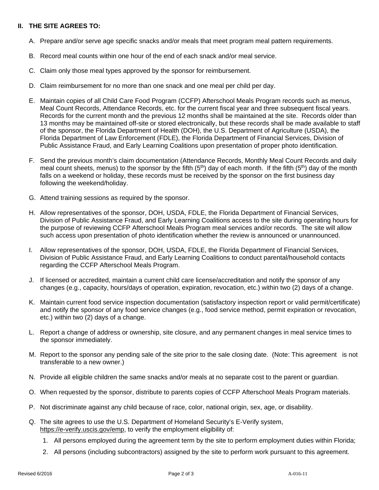## **II. THE SITE AGREES TO:**

- A. Prepare and/or serve age specific snacks and/or meals that meet program meal pattern requirements.
- B. Record meal counts within one hour of the end of each snack and/or meal service.
- C. Claim only those meal types approved by the sponsor for reimbursement.
- D. Claim reimbursement for no more than one snack and one meal per child per day.
- E. Maintain copies of all Child Care Food Program (CCFP) Afterschool Meals Program records such as menus, Meal Count Records, Attendance Records, etc. for the current fiscal year and three subsequent fiscal years. Records for the current month and the previous 12 months shall be maintained at the site. Records older than 13 months may be maintained off-site or stored electronically, but these records shall be made available to staff of the sponsor, the Florida Department of Health (DOH), the U.S. Department of Agriculture (USDA), the Florida Department of Law Enforcement (FDLE), the Florida Department of Financial Services, Division of Public Assistance Fraud, and Early Learning Coalitions upon presentation of proper photo identification.
- F. Send the previous month's claim documentation (Attendance Records, Monthly Meal Count Records and daily meal count sheets, menus) to the sponsor by the fifth (5<sup>th</sup>) day of each month. If the fifth (5<sup>th</sup>) day of the month falls on a weekend or holiday, these records must be received by the sponsor on the first business day following the weekend/holiday.
- G. Attend training sessions as required by the sponsor.
- H. Allow representatives of the sponsor, DOH, USDA, FDLE, the Florida Department of Financial Services, Division of Public Assistance Fraud, and Early Learning Coalitions access to the site during operating hours for the purpose of reviewing CCFP Afterschool Meals Program meal services and/or records. The site will allow such access upon presentation of photo identification whether the review is announced or unannounced.
- I. Allow representatives of the sponsor, DOH, USDA, FDLE, the Florida Department of Financial Services, Division of Public Assistance Fraud, and Early Learning Coalitions to conduct parental/household contacts regarding the CCFP Afterschool Meals Program.
- J. If licensed or accredited, maintain a current child care license/accreditation and notify the sponsor of any changes (e.g., capacity, hours/days of operation, expiration, revocation, etc.) within two (2) days of a change.
- K. Maintain current food service inspection documentation (satisfactory inspection report or valid permit/certificate) and notify the sponsor of any food service changes (e.g., food service method, permit expiration or revocation, etc.) within two (2) days of a change.
- L. Report a change of address or ownership, site closure, and any permanent changes in meal service times to the sponsor immediately.
- M. Report to the sponsor any pending sale of the site prior to the sale closing date. (Note: This agreement is not transferable to a new owner.)
- N. Provide all eligible children the same snacks and/or meals at no separate cost to the parent or guardian.
- O. When requested by the sponsor, distribute to parents copies of CCFP Afterschool Meals Program materials.
- P. Not discriminate against any child because of race, color, national origin, sex, age, or disability.
- Q. The site agrees to use the U.S. Department of Homeland Security's E-Verify system, https://e-verify.uscis.gov/emp, to verify the employment eligibility of:
	- 1. All persons employed during the agreement term by the site to perform employment duties within Florida;
	- 2. All persons (including subcontractors) assigned by the site to perform work pursuant to this agreement.